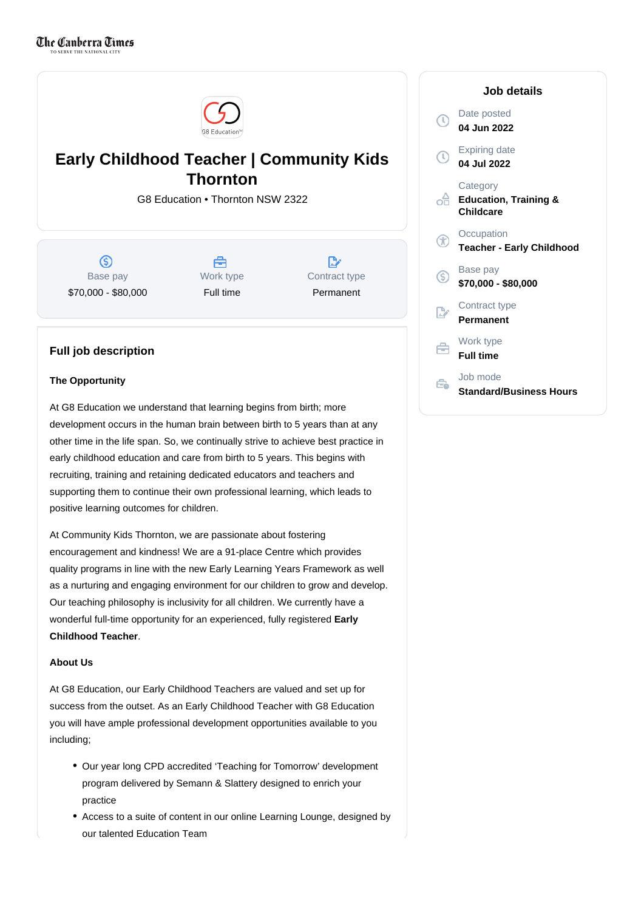

# **Early Childhood Teacher | Community Kids Thornton**

G8 Education • Thornton NSW 2322

 $\circ$ Base pay \$70,000 - \$80,000

A Work type Full time

 $\mathbb{R}^{\cdot}$ Contract type Permanent

# **Full job description**

#### **The Opportunity**

At G8 Education we understand that learning begins from birth; more development occurs in the human brain between birth to 5 years than at any other time in the life span. So, we continually strive to achieve best practice in early childhood education and care from birth to 5 years. This begins with recruiting, training and retaining dedicated educators and teachers and supporting them to continue their own professional learning, which leads to positive learning outcomes for children.

At Community Kids Thornton, we are passionate about fostering encouragement and kindness! We are a 91-place Centre which provides quality programs in line with the new Early Learning Years Framework as well as a nurturing and engaging environment for our children to grow and develop. Our teaching philosophy is inclusivity for all children. We currently have a wonderful full-time opportunity for an experienced, fully registered **Early**  . **Childhood Teacher**

#### **About Us**

At G8 Education, our Early Childhood Teachers are valued and set up for success from the outset. As an Early Childhood Teacher with G8 Education you will have ample professional development opportunities available to you including;

- Our year long CPD accredited 'Teaching for Tomorrow' development program delivered by Semann & Slattery designed to enrich your practice
- Access to a suite of content in our online Learning Lounge, designed by our talented Education Team

#### Date posted  $\mathbb{C}$ **04 Jun 2022** Expiring date  $\mathcal{L}$ **04 Jul 2022 Category** ക് **Education, Training & Childcare Occupation** GD **Teacher - Early Childhood** Base pay (S) **\$70,000 - \$80,000** Contract type **Permanent** Work type 自 **Full time** Job mode Ê. **Standard/Business Hours**

**Job details**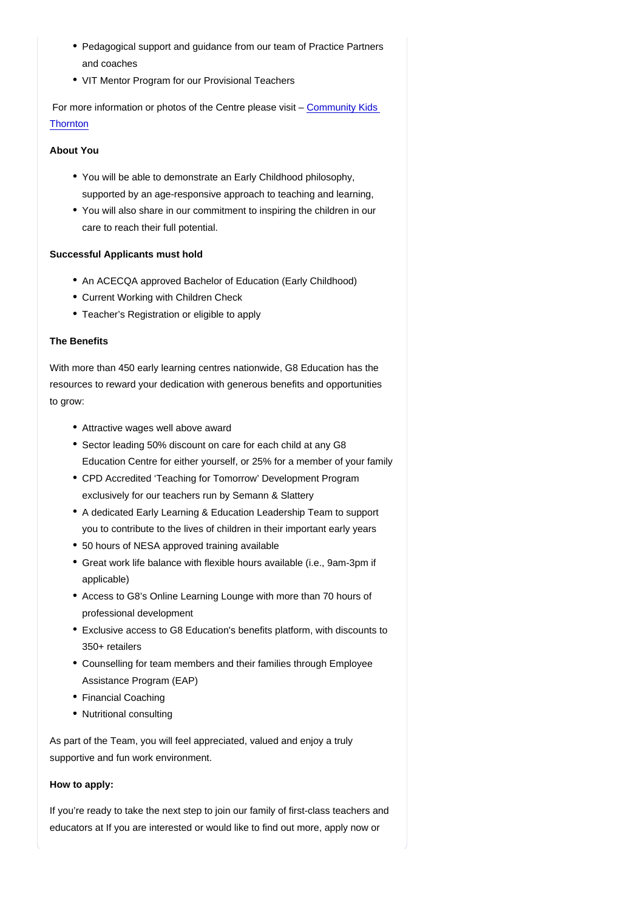- Pedagogical support and guidance from our team of Practice Partners and coaches
- VIT Mentor Program for our Provisional Teachers

 For more information or photos of the Centre please visit – [Community Kids](https://www.communitykids.com.au/centres/childcare-thornton/)  **[Thornton](https://www.communitykids.com.au/centres/childcare-thornton/)** 

About You

- You will be able to demonstrate an Early Childhood philosophy, supported by an age-responsive approach to teaching and learning,
- You will also share in our commitment to inspiring the children in our care to reach their full potential.

## Successful Applicants must hold

- An ACECQA approved Bachelor of Education (Early Childhood)
- Current Working with Children Check
- Teacher's Registration or eligible to apply

## The Benefits

With more than 450 early learning centres nationwide, G8 Education has the resources to reward your dedication with generous benefits and opportunities to grow:

- Attractive wages well above award
- Sector leading 50% discount on care for each child at any G8 Education Centre for either yourself, or 25% for a member of your family
- CPD Accredited 'Teaching for Tomorrow' Development Program exclusively for our teachers run by Semann & Slattery
- A dedicated Early Learning & Education Leadership Team to support you to contribute to the lives of children in their important early years
- 50 hours of NESA approved training available
- Great work life balance with flexible hours available (i.e., 9am-3pm if applicable)
- Access to G8's Online Learning Lounge with more than 70 hours of professional development
- Exclusive access to G8 Education's benefits platform, with discounts to 350+ retailers
- Counselling for team members and their families through Employee Assistance Program (EAP)
- Financial Coaching
- Nutritional consulting

As part of the Team, you will feel appreciated, valued and enjoy a truly supportive and fun work environment.

#### How to apply:

If you're ready to take the next step to join our family of first-class teachers and educators at If you are interested or would like to find out more, apply now or